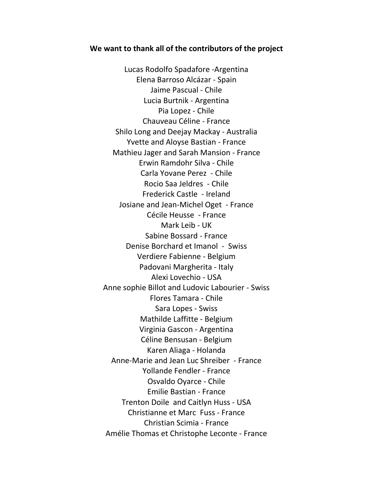## **We want to thank all of the contributors of the project**

Lucas Rodolfo Spadafore -Argentina Elena Barroso Alcázar - Spain Jaime Pascual - Chile Lucia Burtnik - Argentina Pia Lopez - Chile Chauveau Céline - France Shilo Long and Deejay Mackay - Australia Yvette and Aloyse Bastian - France Mathieu Jager and Sarah Mansion - France Erwin Ramdohr Silva - Chile Carla Yovane Perez - Chile Rocio Saa Jeldres - Chile Frederick Castle - Ireland Josiane and Jean-Michel Oget - France Cécile Heusse - France Mark Leib - UK Sabine Bossard - France Denise Borchard et Imanol - Swiss Verdiere Fabienne - Belgium Padovani Margherita - Italy Alexi Lovechio - USA Anne sophie Billot and Ludovic Labourier - Swiss Flores Tamara - Chile Sara Lopes - Swiss Mathilde Laffitte - Belgium Virginia Gascon - Argentina Céline Bensusan - Belgium Karen Aliaga - Holanda Anne-Marie and Jean Luc Shreiber - France Yollande Fendler - France Osvaldo Oyarce - Chile Emilie Bastian - France Trenton Doile and Caitlyn Huss - USA Christianne et Marc Fuss - France Christian Scimia - France Amélie Thomas et Christophe Leconte - France